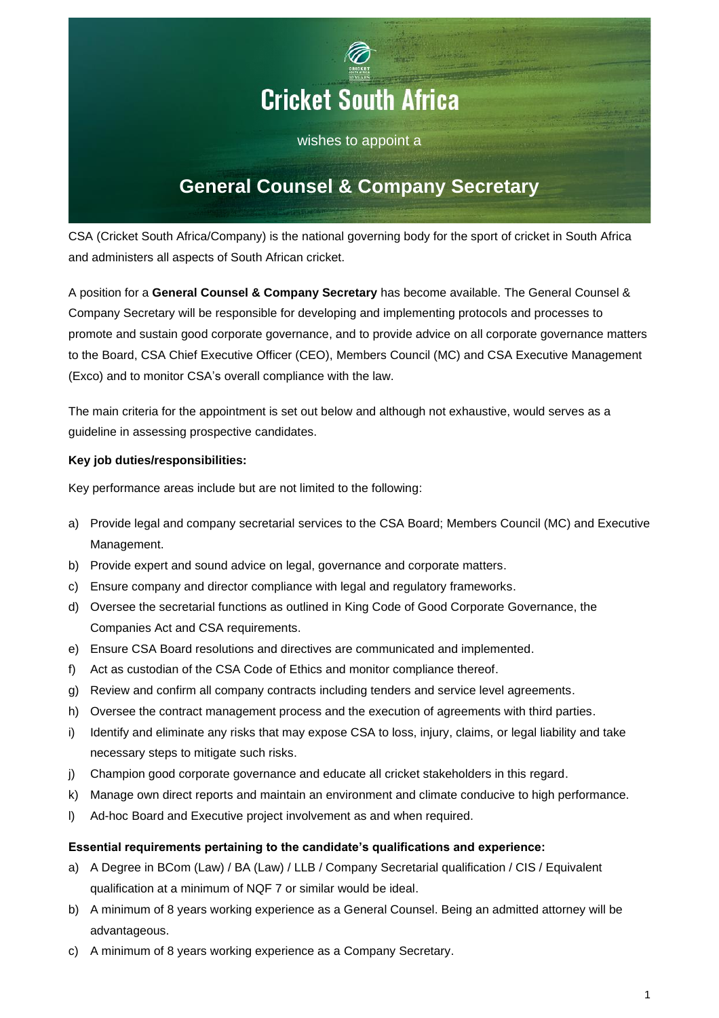

wishes to appoint a

# **General Counsel & Company Secretary**

CSA (Cricket South Africa/Company) is the national governing body for the sport of cricket in South Africa and administers all aspects of South African cricket.

A position for a **General Counsel & Company Secretary** has become available. The General Counsel & Company Secretary will be responsible for developing and implementing protocols and processes to promote and sustain good corporate governance, and to provide advice on all corporate governance matters to the Board, CSA Chief Executive Officer (CEO), Members Council (MC) and CSA Executive Management (Exco) and to monitor CSA's overall compliance with the law.

The main criteria for the appointment is set out below and although not exhaustive, would serves as a guideline in assessing prospective candidates.

# **Key job duties/responsibilities:**

Key performance areas include but are not limited to the following:

- a) Provide legal and company secretarial services to the CSA Board; Members Council (MC) and Executive Management.
- b) Provide expert and sound advice on legal, governance and corporate matters.
- c) Ensure company and director compliance with legal and regulatory frameworks.
- d) Oversee the secretarial functions as outlined in King Code of Good Corporate Governance, the Companies Act and CSA requirements.
- e) Ensure CSA Board resolutions and directives are communicated and implemented.
- f) Act as custodian of the CSA Code of Ethics and monitor compliance thereof.
- g) Review and confirm all company contracts including tenders and service level agreements.
- h) Oversee the contract management process and the execution of agreements with third parties.
- i) Identify and eliminate any risks that may expose CSA to loss, injury, claims, or legal liability and take necessary steps to mitigate such risks.
- j) Champion good corporate governance and educate all cricket stakeholders in this regard.
- k) Manage own direct reports and maintain an environment and climate conducive to high performance.
- l) Ad-hoc Board and Executive project involvement as and when required.

## **Essential requirements pertaining to the candidate's qualifications and experience:**

- a) A Degree in BCom (Law) / BA (Law) / LLB / Company Secretarial qualification / CIS / Equivalent qualification at a minimum of NQF 7 or similar would be ideal.
- b) A minimum of 8 years working experience as a General Counsel. Being an admitted attorney will be advantageous.
- c) A minimum of 8 years working experience as a Company Secretary.